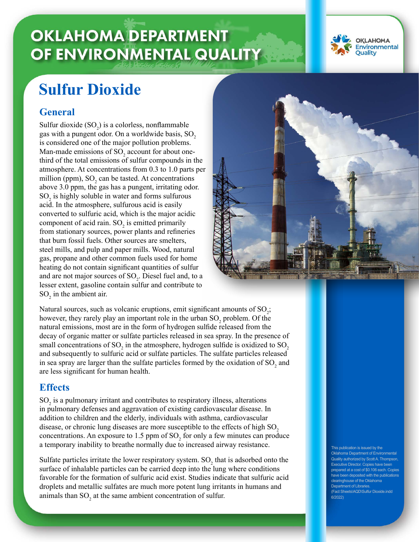# **OKLAHOMA DEPARTMENT** OF ENVIRONMENTAL QUALITY



## **Sulfur Dioxide**

### **General**

Sulfur dioxide  $(SO_2)$  is a colorless, nonflammable gas with a pungent odor. On a worldwide basis, SO<sub>2</sub> is considered one of the major pollution problems. Man-made emissions of  $SO_2$  account for about onethird of the total emissions of sulfur compounds in the atmosphere. At concentrations from 0.3 to 1.0 parts per million (ppm),  $SO_2$  can be tasted. At concentrations above 3.0 ppm, the gas has a pungent, irritating odor.  $SO<sub>2</sub>$  is highly soluble in water and forms sulfurous acid. In the atmosphere, sulfurous acid is easily converted to sulfuric acid, which is the major acidic component of acid rain.  $SO_2$  is emitted primarily from stationary sources, power plants and refineries that burn fossil fuels. Other sources are smelters, steel mills, and pulp and paper mills. Wood, natural gas, propane and other common fuels used for home heating do not contain significant quantities of sulfur and are not major sources of  $SO_2$ . Diesel fuel and, to a lesser extent, gasoline contain sulfur and contribute to  $SO_2$  in the ambient air.



Natural sources, such as volcanic eruptions, emit significant amounts of  $SO_2$ ; however, they rarely play an important role in the urban  $SO_2$  problem. Of the natural emissions, most are in the form of hydrogen sulfide released from the decay of organic matter or sulfate particles released in sea spray. In the presence of small concentrations of SO<sub>2</sub> in the atmosphere, hydrogen sulfide is oxidized to SO<sub>2</sub> and subsequently to sulfuric acid or sulfate particles. The sulfate particles released in sea spray are larger than the sulfate particles formed by the oxidation of  ${SO_2}$  and are less significant for human health.

#### **Effects**

 $SO<sub>2</sub>$  is a pulmonary irritant and contributes to respiratory illness, alterations in pulmonary defenses and aggravation of existing cardiovascular disease. In addition to children and the elderly, individuals with asthma, cardiovascular disease, or chronic lung diseases are more susceptible to the effects of high  $SO<sub>2</sub>$ concentrations. An exposure to 1.5 ppm of  $SO_2$  for only a few minutes can produce a temporary inability to breathe normally due to increased airway resistance.

Sulfate particles irritate the lower respiratory system.  $SO_2$  that is adsorbed onto the surface of inhalable particles can be carried deep into the lung where conditions favorable for the formation of sulfuric acid exist. Studies indicate that sulfuric acid droplets and metallic sulfates are much more potent lung irritants in humans and animals than  $SO_2$  at the same ambient concentration of sulfur.

This publication is issued by the lahoma Department of Environmental uality authorized by Scott A. Thompson, Executive Director. Copies have been prepared at a cost of \$0.106 each. Copies have been deposited with the publications clearinghouse of the Oklahoma Department of Libraries. (Fact Sheets\AQD\Sulfur Dioxide.indd 6/2022)